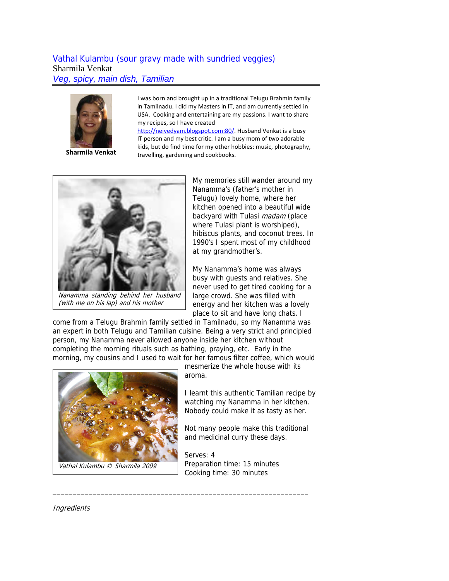# Vathal Kulambu (sour gravy made with sundried veggies) Sharmila Venkat *Veg, spicy, main dish, Tamilian*



**Sharmila Venkat**

I was born and brought up in a traditional Telugu Brahmin family in Tamilnadu. I did my Masters in IT, and am currently settled in USA. Cooking and entertaining are my passions. I want to share my recipes, so I have created

[http://neivedyam.blogspot.com:80/](http://neivedyam.blogspot.com/). Husband Venkat is a busy IT person and my best critic. I am a busy mom of two adorable kids, but do find time for my other hobbies: music, photography, travelling, gardening and cookbooks.



(with me on his lap) and his mother

My memories still wander around my Nanamma's (father's mother in Telugu) lovely home, where her kitchen opened into a beautiful wide backyard with Tulasi *madam* (place where Tulasi plant is worshiped), hibiscus plants, and coconut trees. In 1990's I spent most of my childhood at my grandmother's.

My Nanamma's home was always busy with guests and relatives. She never used to get tired cooking for a large crowd. She was filled with energy and her kitchen was a lovely place to sit and have long chats. I

come from a Telugu Brahmin family settled in Tamilnadu, so my Nanamma was an expert in both Telugu and Tamilian cuisine. Being a very strict and principled person, my Nanamma never allowed anyone inside her kitchen without completing the morning rituals such as bathing, praying, etc. Early in the morning, my cousins and I used to wait for her famous filter coffee, which would

\_\_\_\_\_\_\_\_\_\_\_\_\_\_\_\_\_\_\_\_\_\_\_\_\_\_\_\_\_\_\_\_\_\_\_\_\_\_\_\_\_\_\_\_\_\_\_\_\_\_\_\_\_\_\_\_\_\_\_\_\_\_\_\_



Vathal Kulambu © Sharmila 2009

mesmerize the whole house with its aroma.

I learnt this authentic Tamilian recipe by watching my Nanamma in her kitchen. Nobody could make it as tasty as her.

Not many people make this traditional and medicinal curry these days.

Serves: 4 Preparation time: 15 minutes Cooking time: 30 minutes

**Ingredients**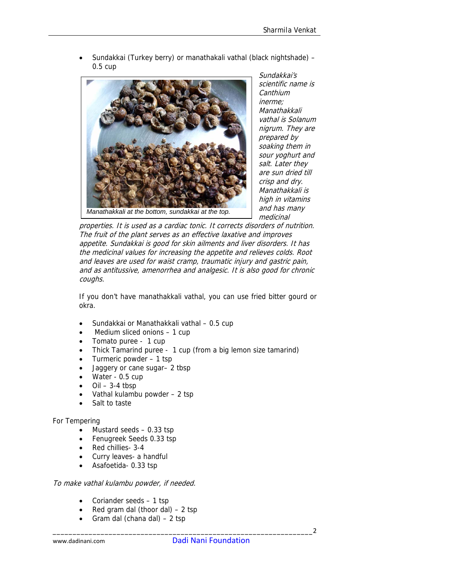• Sundakkai (Turkey berry) or manathakali vathal (black nightshade) – 0.5 cup



Sundakkai's scientific name is **Canthium** inerme; Manathakkali vathal is Solanum nigrum. They are prepared by soaking them in sour yoghurt and salt. Later they are sun dried till crisp and dry. Manathakkali is high in vitamins and has many medicinal

properties. It is used as a cardiac tonic. It corrects disorders of nutrition. The fruit of the plant serves as an effective laxative and improves appetite. Sundakkai is good for skin ailments and liver disorders. It has the medicinal values for increasing the appetite and relieves colds. Root and leaves are used for waist cramp, traumatic injury and gastric pain, and as antitussive, amenorrhea and analgesic. It is also good for chronic coughs.

If you don't have manathakkali vathal, you can use fried bitter gourd or okra.

- Sundakkai or Manathakkali vathal 0.5 cup
- Medium sliced onions 1 cup
- Tomato puree 1 cup
- Thick Tamarind puree 1 cup (from a big lemon size tamarind)
- Turmeric powder 1 tsp
- Jaggery or cane sugar– 2 tbsp
- Water 0.5 cup
- $Oil 3-4$  tbsp
- Vathal kulambu powder 2 tsp
- Salt to taste

# For Tempering

- Mustard seeds 0.33 tsp
- Fenugreek Seeds 0.33 tsp
- Red chillies- 3-4
- Curry leaves- a handful
- Asafoetida- 0.33 tsp

# To make vathal kulambu powder, if needed.

- Coriander seeds 1 tsp
- Red gram dal (thoor dal)  $-2$  tsp
- Gram dal (chana dal) 2 tsp